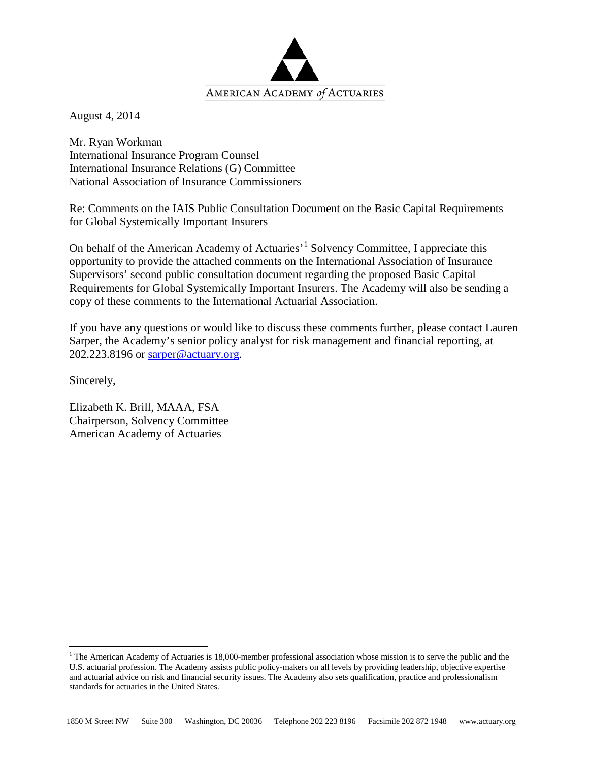

August 4, 2014

Mr. Ryan Workman International Insurance Program Counsel International Insurance Relations (G) Committee National Association of Insurance Commissioners

Re: Comments on the IAIS Public Consultation Document on the Basic Capital Requirements for Global Systemically Important Insurers

On behalf of the American Academy of Actuaries'<sup>[1](#page-0-0)</sup> Solvency Committee, I appreciate this opportunity to provide the attached comments on the International Association of Insurance Supervisors' second public consultation document regarding the proposed Basic Capital Requirements for Global Systemically Important Insurers. The Academy will also be sending a copy of these comments to the International Actuarial Association.

If you have any questions or would like to discuss these comments further, please contact Lauren Sarper, the Academy's senior policy analyst for risk management and financial reporting, at 202.223.8196 or [sarper@actuary.org.](mailto:sarper@actuary.org)

Sincerely,

Elizabeth K. Brill, MAAA, FSA Chairperson, Solvency Committee American Academy of Actuaries

<span id="page-0-0"></span> $1$  The American Academy of Actuaries is 18,000-member professional association whose mission is to serve the public and the U.S. actuarial profession. The Academy assists public policy-makers on all levels by providing leadership, objective expertise and actuarial advice on risk and financial security issues. The Academy also sets qualification, practice and professionalism standards for actuaries in the United States.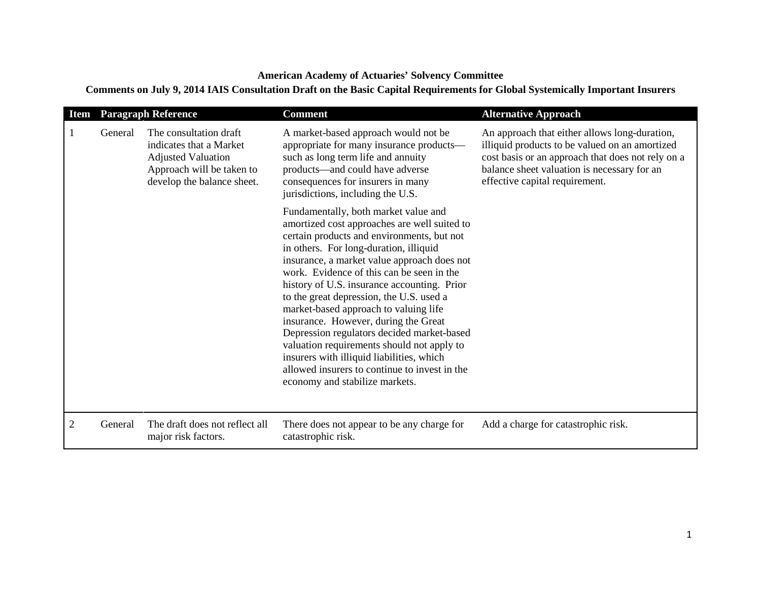## **American Academy of Actuaries' Solvency Committee**

## **Comments on July 9, 2014 IAIS Consultation Draft on the Basic Capital Requirements for Global Systemically Important Insurers**

| <b>Item</b>    | <b>Paragraph Reference</b> |                                                                                                                                           | <b>Comment</b>                                                                                                                                                                                                                                                                                                                                                                                                                                                                                                                                                                                                                                                                   | <b>Alternative Approach</b>                                                                                                                                                                                                           |
|----------------|----------------------------|-------------------------------------------------------------------------------------------------------------------------------------------|----------------------------------------------------------------------------------------------------------------------------------------------------------------------------------------------------------------------------------------------------------------------------------------------------------------------------------------------------------------------------------------------------------------------------------------------------------------------------------------------------------------------------------------------------------------------------------------------------------------------------------------------------------------------------------|---------------------------------------------------------------------------------------------------------------------------------------------------------------------------------------------------------------------------------------|
|                | General                    | The consultation draft<br>indicates that a Market<br><b>Adjusted Valuation</b><br>Approach will be taken to<br>develop the balance sheet. | A market-based approach would not be<br>appropriate for many insurance products-<br>such as long term life and annuity<br>products-and could have adverse<br>consequences for insurers in many<br>jurisdictions, including the U.S.                                                                                                                                                                                                                                                                                                                                                                                                                                              | An approach that either allows long-duration,<br>illiquid products to be valued on an amortized<br>cost basis or an approach that does not rely on a<br>balance sheet valuation is necessary for an<br>effective capital requirement. |
|                |                            |                                                                                                                                           | Fundamentally, both market value and<br>amortized cost approaches are well suited to<br>certain products and environments, but not<br>in others. For long-duration, illiquid<br>insurance, a market value approach does not<br>work. Evidence of this can be seen in the<br>history of U.S. insurance accounting. Prior<br>to the great depression, the U.S. used a<br>market-based approach to valuing life<br>insurance. However, during the Great<br>Depression regulators decided market-based<br>valuation requirements should not apply to<br>insurers with illiquid liabilities, which<br>allowed insurers to continue to invest in the<br>economy and stabilize markets. |                                                                                                                                                                                                                                       |
| $\overline{2}$ | General                    | The draft does not reflect all<br>major risk factors.                                                                                     | There does not appear to be any charge for<br>catastrophic risk.                                                                                                                                                                                                                                                                                                                                                                                                                                                                                                                                                                                                                 | Add a charge for catastrophic risk.                                                                                                                                                                                                   |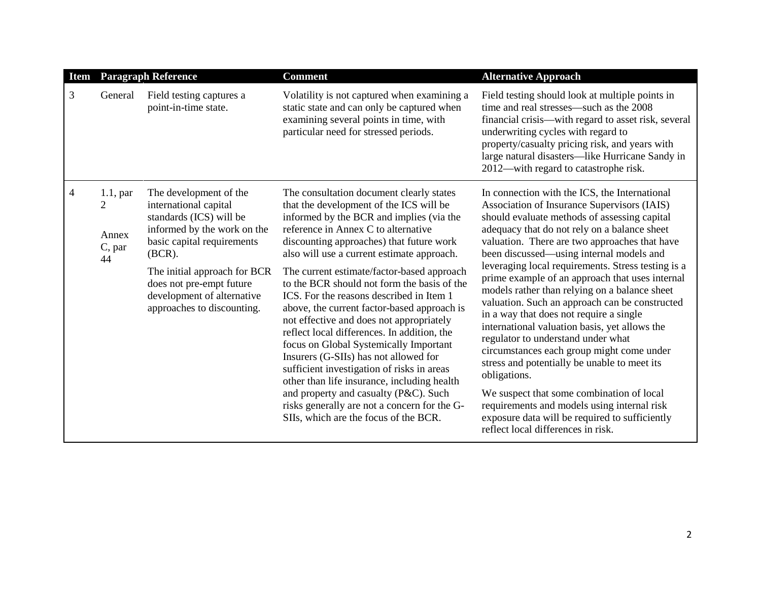| <b>Item</b> | <b>Paragraph Reference</b>                |                                                                                                                                                                                                                                                                              | <b>Comment</b>                                                                                                                                                                                                                                                                                                                                                                                                                                                                                                                                                                                                                                                                                                                                                                                                                                                        | <b>Alternative Approach</b>                                                                                                                                                                                                                                                                                                                                                                                                                                                                                                                                                                                                                                                                                                                                                                                                                                                                                                              |
|-------------|-------------------------------------------|------------------------------------------------------------------------------------------------------------------------------------------------------------------------------------------------------------------------------------------------------------------------------|-----------------------------------------------------------------------------------------------------------------------------------------------------------------------------------------------------------------------------------------------------------------------------------------------------------------------------------------------------------------------------------------------------------------------------------------------------------------------------------------------------------------------------------------------------------------------------------------------------------------------------------------------------------------------------------------------------------------------------------------------------------------------------------------------------------------------------------------------------------------------|------------------------------------------------------------------------------------------------------------------------------------------------------------------------------------------------------------------------------------------------------------------------------------------------------------------------------------------------------------------------------------------------------------------------------------------------------------------------------------------------------------------------------------------------------------------------------------------------------------------------------------------------------------------------------------------------------------------------------------------------------------------------------------------------------------------------------------------------------------------------------------------------------------------------------------------|
| 3           | General                                   | Field testing captures a<br>point-in-time state.                                                                                                                                                                                                                             | Volatility is not captured when examining a<br>static state and can only be captured when<br>examining several points in time, with<br>particular need for stressed periods.                                                                                                                                                                                                                                                                                                                                                                                                                                                                                                                                                                                                                                                                                          | Field testing should look at multiple points in<br>time and real stresses—such as the 2008<br>financial crisis—with regard to asset risk, several<br>underwriting cycles with regard to<br>property/casualty pricing risk, and years with<br>large natural disasters-like Hurricane Sandy in<br>2012—with regard to catastrophe risk.                                                                                                                                                                                                                                                                                                                                                                                                                                                                                                                                                                                                    |
| 4           | $1.1$ , par<br>2<br>Annex<br>C, par<br>44 | The development of the<br>international capital<br>standards (ICS) will be<br>informed by the work on the<br>basic capital requirements<br>$(BCR)$ .<br>The initial approach for BCR<br>does not pre-empt future<br>development of alternative<br>approaches to discounting. | The consultation document clearly states<br>that the development of the ICS will be<br>informed by the BCR and implies (via the<br>reference in Annex C to alternative<br>discounting approaches) that future work<br>also will use a current estimate approach.<br>The current estimate/factor-based approach<br>to the BCR should not form the basis of the<br>ICS. For the reasons described in Item 1<br>above, the current factor-based approach is<br>not effective and does not appropriately<br>reflect local differences. In addition, the<br>focus on Global Systemically Important<br>Insurers (G-SIIs) has not allowed for<br>sufficient investigation of risks in areas<br>other than life insurance, including health<br>and property and casualty (P&C). Such<br>risks generally are not a concern for the G-<br>SIIs, which are the focus of the BCR. | In connection with the ICS, the International<br>Association of Insurance Supervisors (IAIS)<br>should evaluate methods of assessing capital<br>adequacy that do not rely on a balance sheet<br>valuation. There are two approaches that have<br>been discussed—using internal models and<br>leveraging local requirements. Stress testing is a<br>prime example of an approach that uses internal<br>models rather than relying on a balance sheet<br>valuation. Such an approach can be constructed<br>in a way that does not require a single<br>international valuation basis, yet allows the<br>regulator to understand under what<br>circumstances each group might come under<br>stress and potentially be unable to meet its<br>obligations.<br>We suspect that some combination of local<br>requirements and models using internal risk<br>exposure data will be required to sufficiently<br>reflect local differences in risk. |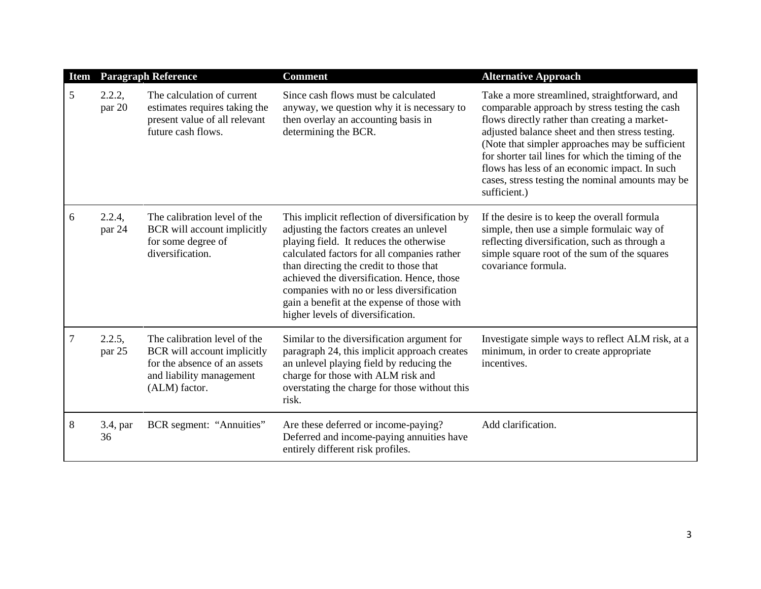| <b>Item</b> | <b>Paragraph Reference</b> |                                                                                                                                          | <b>Comment</b>                                                                                                                                                                                                                                                                                                                                                                                                 | <b>Alternative Approach</b>                                                                                                                                                                                                                                                                                                                                                                                                       |  |
|-------------|----------------------------|------------------------------------------------------------------------------------------------------------------------------------------|----------------------------------------------------------------------------------------------------------------------------------------------------------------------------------------------------------------------------------------------------------------------------------------------------------------------------------------------------------------------------------------------------------------|-----------------------------------------------------------------------------------------------------------------------------------------------------------------------------------------------------------------------------------------------------------------------------------------------------------------------------------------------------------------------------------------------------------------------------------|--|
| 5           | 2.2.2,<br>par 20           | The calculation of current<br>estimates requires taking the<br>present value of all relevant<br>future cash flows.                       | Since cash flows must be calculated<br>anyway, we question why it is necessary to<br>then overlay an accounting basis in<br>determining the BCR.                                                                                                                                                                                                                                                               | Take a more streamlined, straightforward, and<br>comparable approach by stress testing the cash<br>flows directly rather than creating a market-<br>adjusted balance sheet and then stress testing.<br>(Note that simpler approaches may be sufficient<br>for shorter tail lines for which the timing of the<br>flows has less of an economic impact. In such<br>cases, stress testing the nominal amounts may be<br>sufficient.) |  |
| 6           | 2.2.4,<br>par 24           | The calibration level of the<br>BCR will account implicitly<br>for some degree of<br>diversification.                                    | This implicit reflection of diversification by<br>adjusting the factors creates an unlevel<br>playing field. It reduces the otherwise<br>calculated factors for all companies rather<br>than directing the credit to those that<br>achieved the diversification. Hence, those<br>companies with no or less diversification<br>gain a benefit at the expense of those with<br>higher levels of diversification. | If the desire is to keep the overall formula<br>simple, then use a simple formulaic way of<br>reflecting diversification, such as through a<br>simple square root of the sum of the squares<br>covariance formula.                                                                                                                                                                                                                |  |
| 7           | 2.2.5,<br>par 25           | The calibration level of the<br>BCR will account implicitly<br>for the absence of an assets<br>and liability management<br>(ALM) factor. | Similar to the diversification argument for<br>paragraph 24, this implicit approach creates<br>an unlevel playing field by reducing the<br>charge for those with ALM risk and<br>overstating the charge for those without this<br>risk.                                                                                                                                                                        | Investigate simple ways to reflect ALM risk, at a<br>minimum, in order to create appropriate<br>incentives.                                                                                                                                                                                                                                                                                                                       |  |
| 8           | 3.4, par<br>36             | BCR segment: "Annuities"                                                                                                                 | Are these deferred or income-paying?<br>Deferred and income-paying annuities have<br>entirely different risk profiles.                                                                                                                                                                                                                                                                                         | Add clarification.                                                                                                                                                                                                                                                                                                                                                                                                                |  |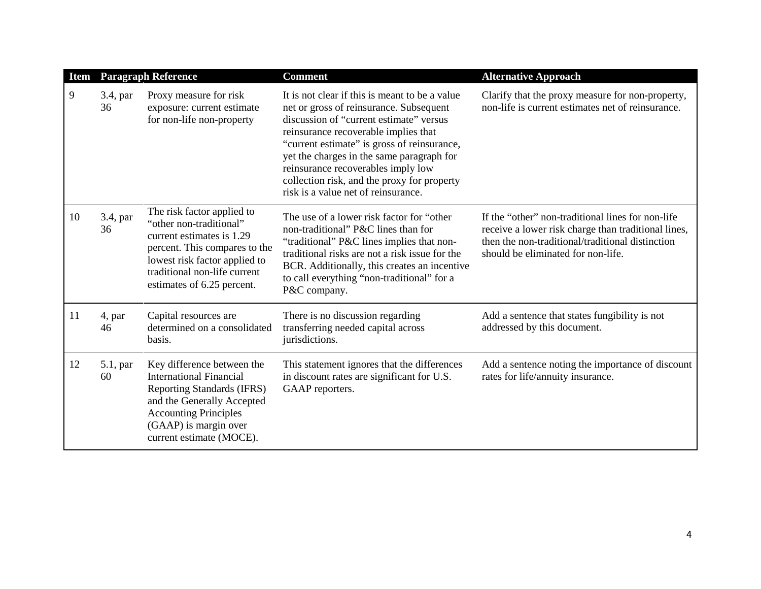| <b>Item</b> | <b>Paragraph Reference</b> |                                                                                                                                                                                                                      | <b>Comment</b>                                                                                                                                                                                                                                                                                                                                                                                       | <b>Alternative Approach</b>                                                                                                                                                                        |
|-------------|----------------------------|----------------------------------------------------------------------------------------------------------------------------------------------------------------------------------------------------------------------|------------------------------------------------------------------------------------------------------------------------------------------------------------------------------------------------------------------------------------------------------------------------------------------------------------------------------------------------------------------------------------------------------|----------------------------------------------------------------------------------------------------------------------------------------------------------------------------------------------------|
| 9           | 3.4, par<br>36             | Proxy measure for risk<br>exposure: current estimate<br>for non-life non-property                                                                                                                                    | It is not clear if this is meant to be a value<br>net or gross of reinsurance. Subsequent<br>discussion of "current estimate" versus<br>reinsurance recoverable implies that<br>"current estimate" is gross of reinsurance,<br>yet the charges in the same paragraph for<br>reinsurance recoverables imply low<br>collection risk, and the proxy for property<br>risk is a value net of reinsurance. | Clarify that the proxy measure for non-property,<br>non-life is current estimates net of reinsurance.                                                                                              |
| 10          | 3.4, par<br>36             | The risk factor applied to<br>"other non-traditional"<br>current estimates is 1.29<br>percent. This compares to the<br>lowest risk factor applied to<br>traditional non-life current<br>estimates of 6.25 percent.   | The use of a lower risk factor for "other<br>non-traditional" P&C lines than for<br>"traditional" P&C lines implies that non-<br>traditional risks are not a risk issue for the<br>BCR. Additionally, this creates an incentive<br>to call everything "non-traditional" for a<br>P&C company.                                                                                                        | If the "other" non-traditional lines for non-life<br>receive a lower risk charge than traditional lines,<br>then the non-traditional/traditional distinction<br>should be eliminated for non-life. |
| 11          | 4, par<br>46               | Capital resources are<br>determined on a consolidated<br>basis.                                                                                                                                                      | There is no discussion regarding<br>transferring needed capital across<br>jurisdictions.                                                                                                                                                                                                                                                                                                             | Add a sentence that states fungibility is not<br>addressed by this document.                                                                                                                       |
| 12          | $5.1$ , par<br>60          | Key difference between the<br><b>International Financial</b><br><b>Reporting Standards (IFRS)</b><br>and the Generally Accepted<br><b>Accounting Principles</b><br>(GAAP) is margin over<br>current estimate (MOCE). | This statement ignores that the differences<br>in discount rates are significant for U.S.<br>GAAP reporters.                                                                                                                                                                                                                                                                                         | Add a sentence noting the importance of discount<br>rates for life/annuity insurance.                                                                                                              |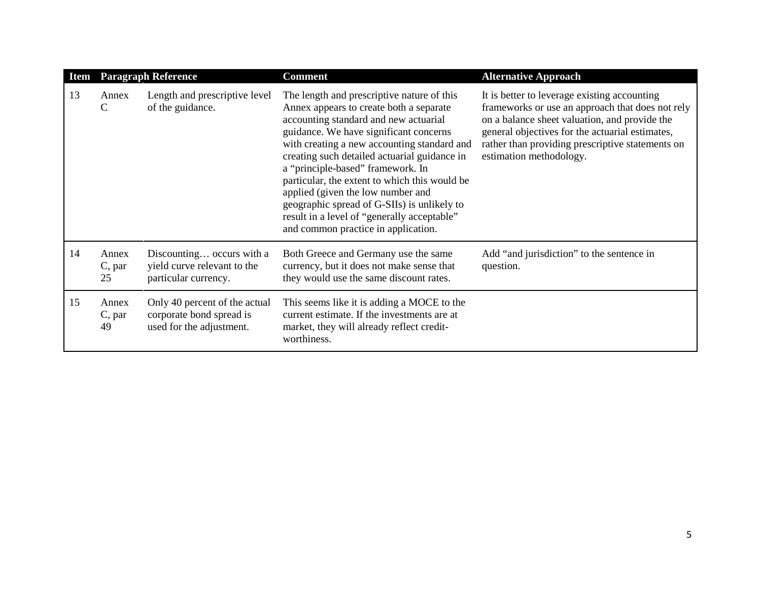| <b>Item</b> | <b>Paragraph Reference</b> |                                                                                       | <b>Comment</b>                                                                                                                                                                                                                                                                                                                                                                                                                                                                                                                          | <b>Alternative Approach</b>                                                                                                                                                                                                                                                         |
|-------------|----------------------------|---------------------------------------------------------------------------------------|-----------------------------------------------------------------------------------------------------------------------------------------------------------------------------------------------------------------------------------------------------------------------------------------------------------------------------------------------------------------------------------------------------------------------------------------------------------------------------------------------------------------------------------------|-------------------------------------------------------------------------------------------------------------------------------------------------------------------------------------------------------------------------------------------------------------------------------------|
| 13          | Annex<br>$\mathcal{C}$     | Length and prescriptive level<br>of the guidance.                                     | The length and prescriptive nature of this<br>Annex appears to create both a separate<br>accounting standard and new actuarial<br>guidance. We have significant concerns<br>with creating a new accounting standard and<br>creating such detailed actuarial guidance in<br>a "principle-based" framework. In<br>particular, the extent to which this would be<br>applied (given the low number and<br>geographic spread of G-SIIs) is unlikely to<br>result in a level of "generally acceptable"<br>and common practice in application. | It is better to leverage existing accounting<br>frameworks or use an approach that does not rely<br>on a balance sheet valuation, and provide the<br>general objectives for the actuarial estimates,<br>rather than providing prescriptive statements on<br>estimation methodology. |
| 14          | Annex<br>C, par<br>25      | Discounting occurs with a<br>yield curve relevant to the<br>particular currency.      | Both Greece and Germany use the same<br>currency, but it does not make sense that<br>they would use the same discount rates.                                                                                                                                                                                                                                                                                                                                                                                                            | Add "and jurisdiction" to the sentence in<br>question.                                                                                                                                                                                                                              |
| 15          | Annex<br>C, par<br>49      | Only 40 percent of the actual<br>corporate bond spread is<br>used for the adjustment. | This seems like it is adding a MOCE to the<br>current estimate. If the investments are at<br>market, they will already reflect credit-<br>worthiness.                                                                                                                                                                                                                                                                                                                                                                                   |                                                                                                                                                                                                                                                                                     |